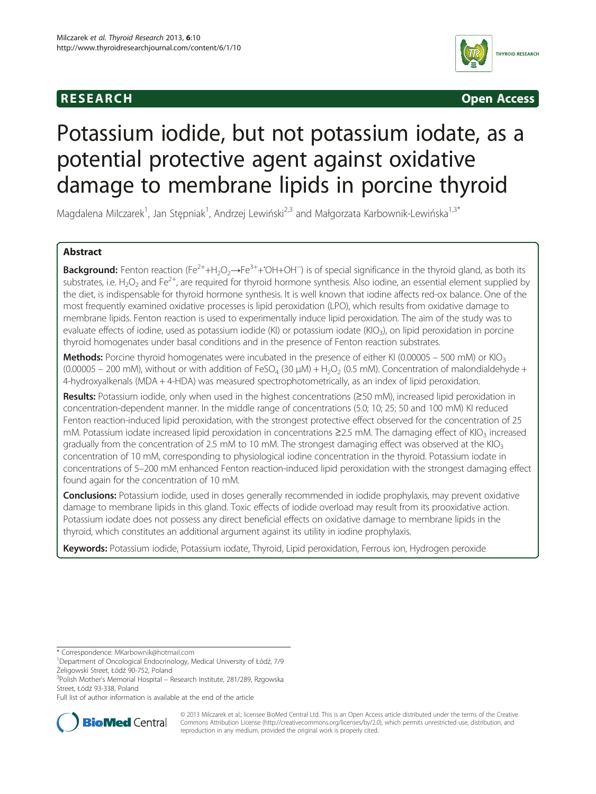# **RESEARCH CHING CONSTRUCTED ACCESS**



# Potassium iodide, but not potassium iodate, as a potential protective agent against oxidative damage to membrane lipids in porcine thyroid

Magdalena Milczarek<sup>1</sup>, Jan Stępniak<sup>1</sup>, Andrzej Lewiński<sup>2,3</sup> and Małgorzata Karbownik-Lewińska<sup>1,3\*</sup>

# Abstract

Background: Fenton reaction (Fe<sup>2+</sup>+H<sub>2</sub>O<sub>2</sub>→Fe<sup>3+</sup>+\*OH+OH<sup>-</sup>) is of special significance in the thyroid gland, as both its substrates, i.e. H<sub>2</sub>O<sub>2</sub> and Fe<sup>2+</sup>, are required for thyroid hormone synthesis. Also iodine, an essential element supplied by the diet, is indispensable for thyroid hormone synthesis. It is well known that iodine affects red-ox balance. One of the most frequently examined oxidative processes is lipid peroxidation (LPO), which results from oxidative damage to membrane lipids. Fenton reaction is used to experimentally induce lipid peroxidation. The aim of the study was to evaluate effects of iodine, used as potassium iodide (KI) or potassium iodate (KIO<sub>3</sub>), on lipid peroxidation in porcine thyroid homogenates under basal conditions and in the presence of Fenton reaction substrates.

**Methods:** Porcine thyroid homogenates were incubated in the presence of either KI (0.00005 – 500 mM) or KIO<sub>3</sub> (0.00005 – 200 mM), without or with addition of FeSO<sub>4</sub> (30  $\mu$ M) + H<sub>2</sub>O<sub>2</sub> (0.5 mM). Concentration of malondialdehyde + 4-hydroxyalkenals (MDA + 4-HDA) was measured spectrophotometrically, as an index of lipid peroxidation.

Results: Potassium iodide, only when used in the highest concentrations (≥50 mM), increased lipid peroxidation in concentration-dependent manner. In the middle range of concentrations (5.0; 10; 25; 50 and 100 mM) KI reduced Fenton reaction-induced lipid peroxidation, with the strongest protective effect observed for the concentration of 25 mM. Potassium iodate increased lipid peroxidation in concentrations ≥2.5 mM. The damaging effect of KIO<sub>3</sub> increased gradually from the concentration of 2.5 mM to 10 mM. The strongest damaging effect was observed at the KIO<sub>3</sub> concentration of 10 mM, corresponding to physiological iodine concentration in the thyroid. Potassium iodate in concentrations of 5–200 mM enhanced Fenton reaction-induced lipid peroxidation with the strongest damaging effect found again for the concentration of 10 mM.

Conclusions: Potassium iodide, used in doses generally recommended in iodide prophylaxis, may prevent oxidative damage to membrane lipids in this gland. Toxic effects of iodide overload may result from its prooxidative action. Potassium iodate does not possess any direct beneficial effects on oxidative damage to membrane lipids in the thyroid, which constitutes an additional argument against its utility in iodine prophylaxis.

Keywords: Potassium iodide, Potassium iodate, Thyroid, Lipid peroxidation, Ferrous ion, Hydrogen peroxide

\* Correspondence: [MKarbownik@hotmail.com](mailto:MKarbownik@hotmail.com) <sup>1</sup>

<sup>3</sup>Polish Mother's Memorial Hospital – Research Institute, 281/289, Rzgowska Street, Łódź 93-338, Poland

Full list of author information is available at the end of the article



© 2013 Milczarek et al.; licensee BioMed Central Ltd. This is an Open Access article distributed under the terms of the Creative Commons Attribution License [\(http://creativecommons.org/licenses/by/2.0\)](http://creativecommons.org/licenses/by/2.0), which permits unrestricted use, distribution, and reproduction in any medium, provided the original work is properly cited.

Department of Oncological Endocrinology, Medical University of Łódź, 7/9 Żeligowski Street, Łódź 90-752, Poland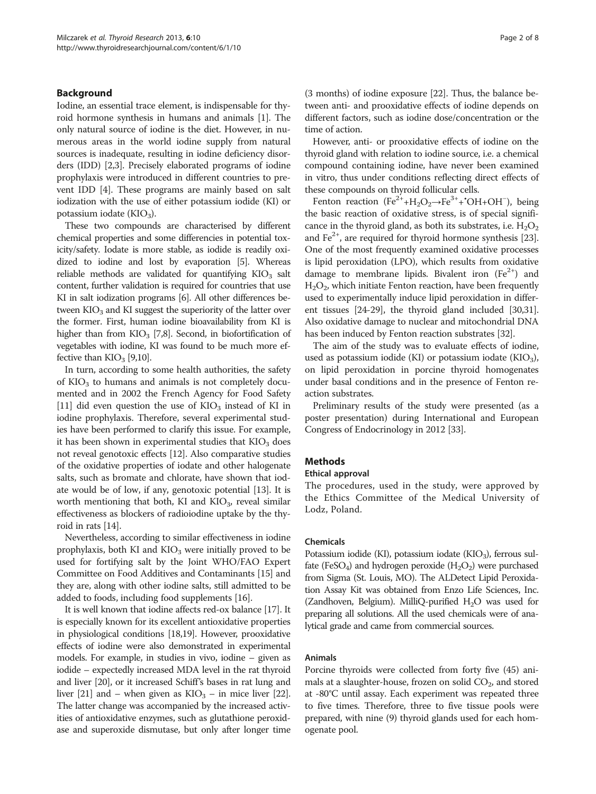# Background

Iodine, an essential trace element, is indispensable for thyroid hormone synthesis in humans and animals [[1\]](#page-6-0). The only natural source of iodine is the diet. However, in numerous areas in the world iodine supply from natural sources is inadequate, resulting in iodine deficiency disorders (IDD) [[2,3](#page-6-0)]. Precisely elaborated programs of iodine prophylaxis were introduced in different countries to prevent IDD [[4\]](#page-6-0). These programs are mainly based on salt iodization with the use of either potassium iodide (KI) or potassium iodate  $(KIO<sub>3</sub>)$ .

These two compounds are characterised by different chemical properties and some differencies in potential toxicity/safety. Iodate is more stable, as iodide is readily oxidized to iodine and lost by evaporation [[5\]](#page-6-0). Whereas reliable methods are validated for quantifying  $KIO<sub>3</sub>$  salt content, further validation is required for countries that use KI in salt iodization programs [\[6](#page-6-0)]. All other differences between KIO<sub>3</sub> and KI suggest the superiority of the latter over the former. First, human iodine bioavailability from KI is higher than from  $KIO<sub>3</sub>$  [\[7,8\]](#page-6-0). Second, in biofortification of vegetables with iodine, KI was found to be much more effective than  $KIO<sub>3</sub>$  [\[9,10\]](#page-6-0).

In turn, according to some health authorities, the safety of  $KIO<sub>3</sub>$  to humans and animals is not completely documented and in 2002 the French Agency for Food Safety [[11](#page-6-0)] did even question the use of  $KIO<sub>3</sub>$  instead of KI in iodine prophylaxis. Therefore, several experimental studies have been performed to clarify this issue. For example, it has been shown in experimental studies that  $KIO<sub>3</sub>$  does not reveal genotoxic effects [\[12](#page-6-0)]. Also comparative studies of the oxidative properties of iodate and other halogenate salts, such as bromate and chlorate, have shown that iodate would be of low, if any, genotoxic potential [\[13\]](#page-6-0). It is worth mentioning that both, KI and  $KIO<sub>3</sub>$ , reveal similar effectiveness as blockers of radioiodine uptake by the thyroid in rats [\[14](#page-6-0)].

Nevertheless, according to similar effectiveness in iodine prophylaxis, both KI and  $KIO<sub>3</sub>$  were initially proved to be used for fortifying salt by the Joint WHO/FAO Expert Committee on Food Additives and Contaminants [\[15\]](#page-6-0) and they are, along with other iodine salts, still admitted to be added to foods, including food supplements [[16](#page-6-0)].

It is well known that iodine affects red-ox balance [\[17\]](#page-6-0). It is especially known for its excellent antioxidative properties in physiological conditions [[18,19\]](#page-6-0). However, prooxidative effects of iodine were also demonstrated in experimental models. For example, in studies in vivo, iodine – given as iodide – expectedly increased MDA level in the rat thyroid and liver [[20](#page-6-0)], or it increased Schiff's bases in rat lung and liver [\[21\]](#page-7-0) and – when given as  $KIO<sub>3</sub>$  – in mice liver [[22](#page-7-0)]. The latter change was accompanied by the increased activities of antioxidative enzymes, such as glutathione peroxidase and superoxide dismutase, but only after longer time (3 months) of iodine exposure [\[22\]](#page-7-0). Thus, the balance between anti- and prooxidative effects of iodine depends on different factors, such as iodine dose/concentration or the time of action.

However, anti- or prooxidative effects of iodine on the thyroid gland with relation to iodine source, i.e. a chemical compound containing iodine, have never been examined in vitro, thus under conditions reflecting direct effects of these compounds on thyroid follicular cells.

Fenton reaction (Fe<sup>2+</sup>+H<sub>2</sub>O<sub>2</sub>→Fe<sup>3+</sup>+<sup>•</sup>OH+OH<sup>-</sup>), being the basic reaction of oxidative stress, is of special significance in the thyroid gland, as both its substrates, i.e.  $H_2O_2$ and  $Fe^{2+}$ , are required for thyroid hormone synthesis [[23](#page-7-0)]. One of the most frequently examined oxidative processes is lipid peroxidation (LPO), which results from oxidative damage to membrane lipids. Bivalent iron  $(Fe^{2+})$  and  $H<sub>2</sub>O<sub>2</sub>$ , which initiate Fenton reaction, have been frequently used to experimentally induce lipid peroxidation in different tissues [\[24-29\]](#page-7-0), the thyroid gland included [\[30,31](#page-7-0)]. Also oxidative damage to nuclear and mitochondrial DNA has been induced by Fenton reaction substrates [\[32\]](#page-7-0).

The aim of the study was to evaluate effects of iodine, used as potassium iodide (KI) or potassium iodate (KIO<sub>3</sub>), on lipid peroxidation in porcine thyroid homogenates under basal conditions and in the presence of Fenton reaction substrates.

Preliminary results of the study were presented (as a poster presentation) during International and European Congress of Endocrinology in 2012 [[33](#page-7-0)].

# Methods

#### Ethical approval

The procedures, used in the study, were approved by the Ethics Committee of the Medical University of Lodz, Poland.

# Chemicals

Potassium iodide (KI), potassium iodate (KIO<sub>3</sub>), ferrous sulfate (FeSO<sub>4</sub>) and hydrogen peroxide (H<sub>2</sub>O<sub>2</sub>) were purchased from Sigma (St. Louis, MO). The ALDetect Lipid Peroxidation Assay Kit was obtained from Enzo Life Sciences, Inc. (Zandhoven, Belgium). MilliQ-purified  $H_2O$  was used for preparing all solutions. All the used chemicals were of analytical grade and came from commercial sources.

# Animals

Porcine thyroids were collected from forty five (45) animals at a slaughter-house, frozen on solid  $CO<sub>2</sub>$ , and stored at -80°C until assay. Each experiment was repeated three to five times. Therefore, three to five tissue pools were prepared, with nine (9) thyroid glands used for each homogenate pool.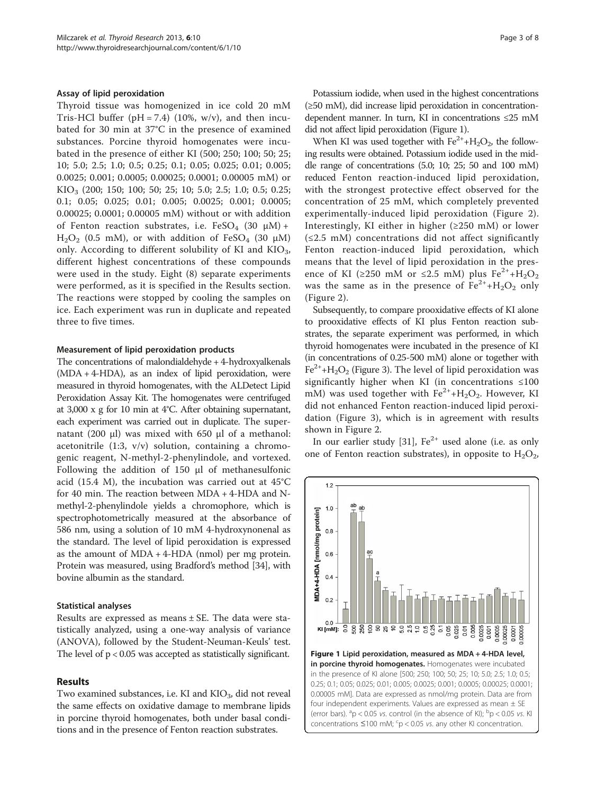#### <span id="page-2-0"></span>Assay of lipid peroxidation

Thyroid tissue was homogenized in ice cold 20 mM Tris-HCl buffer ( $pH = 7.4$ ) (10%, w/v), and then incubated for 30 min at 37°C in the presence of examined substances. Porcine thyroid homogenates were incubated in the presence of either KI (500; 250; 100; 50; 25; 10; 5.0; 2.5; 1.0; 0.5; 0.25; 0.1; 0.05; 0.025; 0.01; 0.005; 0.0025; 0.001; 0.0005; 0.00025; 0.0001; 0.00005 mM) or KIO<sub>3</sub> (200; 150; 100; 50; 25; 10; 5.0; 2.5; 1.0; 0.5; 0.25; 0.1; 0.05; 0.025; 0.01; 0.005; 0.0025; 0.001; 0.0005; 0.00025; 0.0001; 0.00005 mM) without or with addition of Fenton reaction substrates, i.e.  $FeSO_4$  (30  $\mu$ M) + H<sub>2</sub>O<sub>2</sub> (0.5 mM), or with addition of FeSO<sub>4</sub> (30 μM) only. According to different solubility of KI and  $KIO<sub>3</sub>$ , different highest concentrations of these compounds were used in the study. Eight (8) separate experiments were performed, as it is specified in the Results section. The reactions were stopped by cooling the samples on ice. Each experiment was run in duplicate and repeated three to five times.

#### Measurement of lipid peroxidation products

The concentrations of malondialdehyde + 4-hydroxyalkenals (MDA + 4-HDA), as an index of lipid peroxidation, were measured in thyroid homogenates, with the ALDetect Lipid Peroxidation Assay Kit. The homogenates were centrifuged at 3,000 x g for 10 min at 4°C. After obtaining supernatant, each experiment was carried out in duplicate. The supernatant (200 μl) was mixed with 650 μl of a methanol: acetonitrile (1:3, v/v) solution, containing a chromogenic reagent, N-methyl-2-phenylindole, and vortexed. Following the addition of 150 μl of methanesulfonic acid (15.4 M), the incubation was carried out at 45°C for 40 min. The reaction between MDA + 4-HDA and Nmethyl-2-phenylindole yields a chromophore, which is spectrophotometrically measured at the absorbance of 586 nm, using a solution of 10 mM 4-hydroxynonenal as the standard. The level of lipid peroxidation is expressed as the amount of  $MDA + 4$ -HDA (nmol) per mg protein. Protein was measured, using Bradford's method [\[34\]](#page-7-0), with bovine albumin as the standard.

# Statistical analyses

Results are expressed as means ± SE. The data were statistically analyzed, using a one-way analysis of variance (ANOVA), followed by the Student-Neuman-Keuls' test. The level of p < 0.05 was accepted as statistically significant.

# Results

Two examined substances, i.e. KI and  $KIO_3$ , did not reveal the same effects on oxidative damage to membrane lipids in porcine thyroid homogenates, both under basal conditions and in the presence of Fenton reaction substrates.

Potassium iodide, when used in the highest concentrations (≥50 mM), did increase lipid peroxidation in concentrationdependent manner. In turn, KI in concentrations ≤25 mM did not affect lipid peroxidation (Figure 1).

When KI was used together with  $Fe^{2+} + H_2O_2$ , the following results were obtained. Potassium iodide used in the middle range of concentrations (5.0; 10; 25; 50 and 100 mM) reduced Fenton reaction-induced lipid peroxidation, with the strongest protective effect observed for the concentration of 25 mM, which completely prevented experimentally-induced lipid peroxidation (Figure [2](#page-3-0)). Interestingly, KI either in higher (≥250 mM) or lower  $(\leq 2.5$  mM) concentrations did not affect significantly Fenton reaction-induced lipid peroxidation, which means that the level of lipid peroxidation in the presence of KI (≥250 mM or ≤2.5 mM) plus  $Fe^{2+}+H_2O_2$ was the same as in the presence of  $Fe^{2+}+H_2O_2$  only (Figure [2\)](#page-3-0).

Subsequently, to compare prooxidative effects of KI alone to prooxidative effects of KI plus Fenton reaction substrates, the separate experiment was performed, in which thyroid homogenates were incubated in the presence of KI (in concentrations of 0.25-500 mM) alone or together with  $Fe<sup>2+</sup>+H<sub>2</sub>O<sub>2</sub>$  (Figure [3\)](#page-3-0). The level of lipid peroxidation was significantly higher when KI (in concentrations ≤100 mM) was used together with  $Fe^{2+}+H_2O_2$ . However, KI did not enhanced Fenton reaction-induced lipid peroxidation (Figure [3](#page-3-0)), which is in agreement with results shown in Figure [2](#page-3-0).

In our earlier study [[31\]](#page-7-0),  $Fe^{2+}$  used alone (i.e. as only one of Fenton reaction substrates), in opposite to  $H_2O_2$ ,

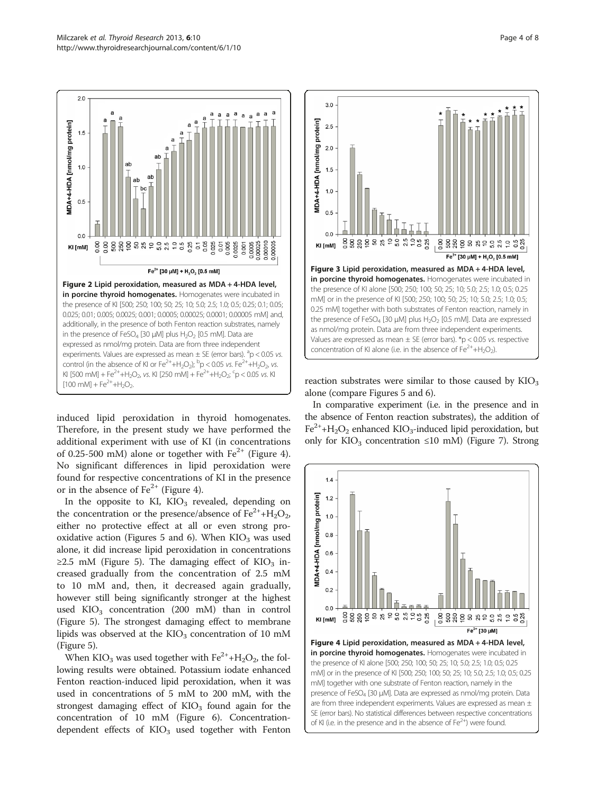$2.0$ 

<span id="page-3-0"></span>

induced lipid peroxidation in thyroid homogenates. Therefore, in the present study we have performed the additional experiment with use of KI (in concentrations of 0.25-500 mM) alone or together with  $Fe^{2+}$  (Figure 4). No significant differences in lipid peroxidation were found for respective concentrations of KI in the presence or in the absence of  $Fe^{2+}$  (Figure 4).

In the opposite to KI,  $KIO<sub>3</sub>$  revealed, depending on the concentration or the presence/absence of  $Fe^{2+}+H_2O_2$ , either no protective effect at all or even strong pro-oxidative action (Figures [5](#page-4-0) and [6\)](#page-4-0). When  $KIO<sub>3</sub>$  was used alone, it did increase lipid peroxidation in concentrations  $\geq$ 2.5 mM (Figure [5\)](#page-4-0). The damaging effect of KIO<sub>3</sub> increased gradually from the concentration of 2.5 mM to 10 mM and, then, it decreased again gradually, however still being significantly stronger at the highest used  $KIO<sub>3</sub>$  concentration (200 mM) than in control (Figure [5](#page-4-0)). The strongest damaging effect to membrane lipids was observed at the  $KIO<sub>3</sub>$  concentration of 10 mM (Figure [5](#page-4-0)).

When KIO<sub>3</sub> was used together with  $Fe^{2+}+H_2O_2$ , the following results were obtained. Potassium iodate enhanced Fenton reaction-induced lipid peroxidation, when it was used in concentrations of 5 mM to 200 mM, with the strongest damaging effect of  $KIO<sub>3</sub>$  found again for the concentration of 10 mM (Figure [6\)](#page-4-0). Concentrationdependent effects of  $KIO<sub>3</sub>$  used together with Fenton



reaction substrates were similar to those caused by  $KIO<sub>3</sub>$ alone (compare Figures [5](#page-4-0) and [6](#page-4-0)).

In comparative experiment (i.e. in the presence and in the absence of Fenton reaction substrates), the addition of  $Fe^{2+}+H_2O_2$  enhanced KIO<sub>3</sub>-induced lipid peroxidation, but only for KIO<sub>3</sub> concentration ≤10 mM) (Figure [7](#page-4-0)). Strong

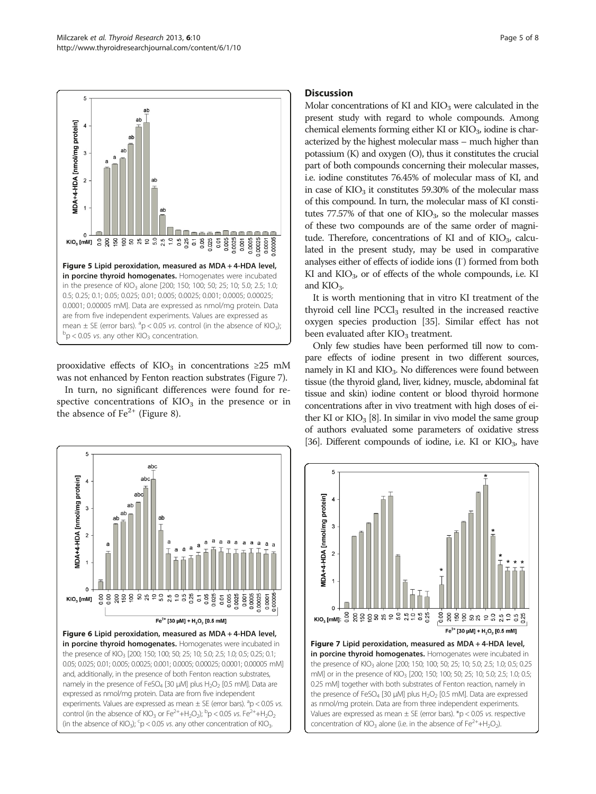<span id="page-4-0"></span>

prooxidative effects of KIO<sub>3</sub> in concentrations ≥25 mM was not enhanced by Fenton reaction substrates (Figure 7).

In turn, no significant differences were found for respective concentrations of  $KIO<sub>3</sub>$  in the presence or in the absence of  $Fe<sup>2+</sup>$  (Figure [8\)](#page-5-0).



# **Discussion**

Molar concentrations of KI and  $KIO<sub>3</sub>$  were calculated in the present study with regard to whole compounds. Among chemical elements forming either KI or  $KIO<sub>3</sub>$ , iodine is characterized by the highest molecular mass – much higher than potassium (K) and oxygen (O), thus it constitutes the crucial part of both compounds concerning their molecular masses, i.e. iodine constitutes 76.45% of molecular mass of KI, and in case of  $KIO<sub>3</sub>$  it constitutes 59.30% of the molecular mass of this compound. In turn, the molecular mass of KI constitutes  $77.57\%$  of that one of  $KIO<sub>3</sub>$ , so the molecular masses of these two compounds are of the same order of magnitude. Therefore, concentrations of KI and of  $KIO<sub>3</sub>$ , calculated in the present study, may be used in comparative analyses either of effects of iodide ions (I<sup>-</sup>) formed from both KI and  $KIO<sub>3</sub>$ , or of effects of the whole compounds, i.e. KI and KIO<sub>3</sub>.

It is worth mentioning that in vitro KI treatment of the thyroid cell line  $PCCl<sub>3</sub>$  resulted in the increased reactive oxygen species production [\[35\]](#page-7-0). Similar effect has not been evaluated after  $KIO<sub>3</sub>$  treatment.

Only few studies have been performed till now to compare effects of iodine present in two different sources, namely in KI and  $KIO<sub>3</sub>$ . No differences were found between tissue (the thyroid gland, liver, kidney, muscle, abdominal fat tissue and skin) iodine content or blood thyroid hormone concentrations after in vivo treatment with high doses of either KI or  $KIO<sub>3</sub>$  [[8](#page-6-0)]. In similar in vivo model the same group of authors evaluated some parameters of oxidative stress [[36](#page-7-0)]. Different compounds of iodine, i.e. KI or  $KIO<sub>3</sub>$ , have

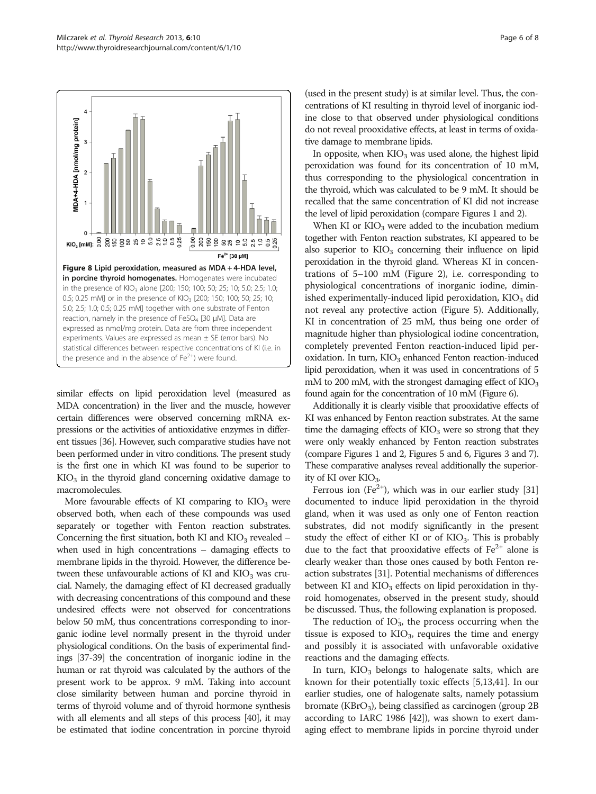<span id="page-5-0"></span>

similar effects on lipid peroxidation level (measured as MDA concentration) in the liver and the muscle, however certain differences were observed concerning mRNA expressions or the activities of antioxidative enzymes in different tissues [\[36\]](#page-7-0). However, such comparative studies have not been performed under in vitro conditions. The present study is the first one in which KI was found to be superior to KIO3 in the thyroid gland concerning oxidative damage to macromolecules.

More favourable effects of KI comparing to  $KIO<sub>3</sub>$  were observed both, when each of these compounds was used separately or together with Fenton reaction substrates. Concerning the first situation, both KI and  $KIO<sub>3</sub>$  revealed – when used in high concentrations – damaging effects to membrane lipids in the thyroid. However, the difference between these unfavourable actions of KI and  $KIO<sub>3</sub>$  was crucial. Namely, the damaging effect of KI decreased gradually with decreasing concentrations of this compound and these undesired effects were not observed for concentrations below 50 mM, thus concentrations corresponding to inorganic iodine level normally present in the thyroid under physiological conditions. On the basis of experimental findings [[37](#page-7-0)-[39](#page-7-0)] the concentration of inorganic iodine in the human or rat thyroid was calculated by the authors of the present work to be approx. 9 mM. Taking into account close similarity between human and porcine thyroid in terms of thyroid volume and of thyroid hormone synthesis with all elements and all steps of this process [\[40](#page-7-0)], it may be estimated that iodine concentration in porcine thyroid

(used in the present study) is at similar level. Thus, the concentrations of KI resulting in thyroid level of inorganic iodine close to that observed under physiological conditions do not reveal prooxidative effects, at least in terms of oxidative damage to membrane lipids.

In opposite, when  $KIO_3$  was used alone, the highest lipid peroxidation was found for its concentration of 10 mM, thus corresponding to the physiological concentration in the thyroid, which was calculated to be 9 mM. It should be recalled that the same concentration of KI did not increase the level of lipid peroxidation (compare Figures [1](#page-2-0) and [2\)](#page-3-0).

When KI or  $KIO<sub>3</sub>$  were added to the incubation medium together with Fenton reaction substrates, KI appeared to be also superior to  $KIO<sub>3</sub>$  concerning their influence on lipid peroxidation in the thyroid gland. Whereas KI in concentrations of 5–100 mM (Figure [2](#page-3-0)), i.e. corresponding to physiological concentrations of inorganic iodine, diminished experimentally-induced lipid peroxidation,  $KIO<sub>3</sub>$  did not reveal any protective action (Figure [5](#page-4-0)). Additionally, KI in concentration of 25 mM, thus being one order of magnitude higher than physiological iodine concentration, completely prevented Fenton reaction-induced lipid peroxidation. In turn,  $KIO<sub>3</sub>$  enhanced Fenton reaction-induced lipid peroxidation, when it was used in concentrations of 5 mM to 200 mM, with the strongest damaging effect of  $KIO<sub>3</sub>$ found again for the concentration of 10 mM (Figure [6](#page-4-0)).

Additionally it is clearly visible that prooxidative effects of KI was enhanced by Fenton reaction substrates. At the same time the damaging effects of  $KIO<sub>3</sub>$  were so strong that they were only weakly enhanced by Fenton reaction substrates (compare Figures [1](#page-2-0) and [2,](#page-3-0) Figures [5](#page-4-0) and [6,](#page-4-0) Figures [3](#page-3-0) and [7](#page-4-0)). These comparative analyses reveal additionally the superiority of KI over  $KIO<sub>3</sub>$ .

Ferrous ion (Fe<sup>2+</sup>), which was in our earlier study [[31](#page-7-0)] documented to induce lipid peroxidation in the thyroid gland, when it was used as only one of Fenton reaction substrates, did not modify significantly in the present study the effect of either KI or of  $KIO<sub>3</sub>$ . This is probably due to the fact that prooxidative effects of  $Fe^{2+}$  alone is clearly weaker than those ones caused by both Fenton reaction substrates [\[31\]](#page-7-0). Potential mechanisms of differences between KI and  $KIO<sub>3</sub>$  effects on lipid peroxidation in thyroid homogenates, observed in the present study, should be discussed. Thus, the following explanation is proposed.

The reduction of  $IO_{3}^{*}$ , the process occurring when the tissue is exposed to  $KIO_3$ , requires the time and energy and possibly it is associated with unfavorable oxidative reactions and the damaging effects.

In turn,  $KIO<sub>3</sub>$  belongs to halogenate salts, which are known for their potentially toxic effects [[5](#page-6-0),[13](#page-6-0),[41](#page-7-0)]. In our earlier studies, one of halogenate salts, namely potassium bromate ( $KBrO<sub>3</sub>$ ), being classified as carcinogen (group 2B according to IARC 1986 [[42](#page-7-0)]), was shown to exert damaging effect to membrane lipids in porcine thyroid under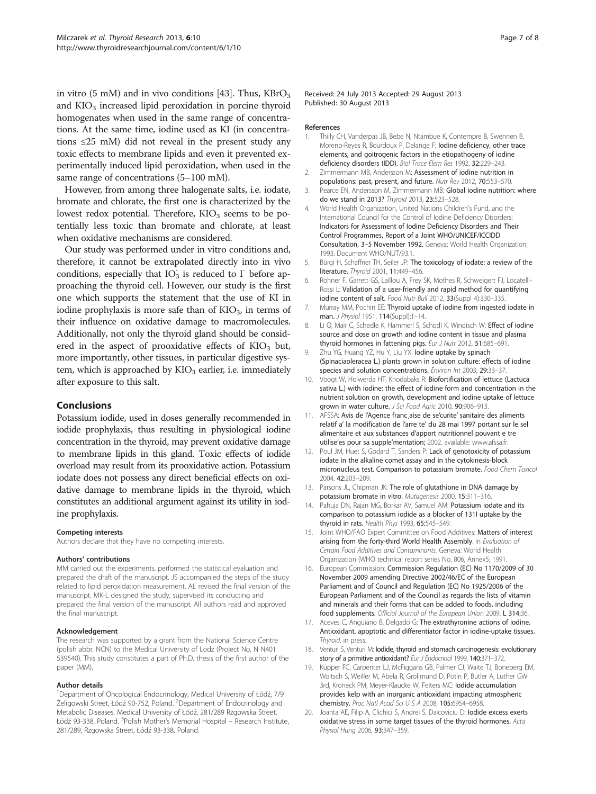<span id="page-6-0"></span>in vitro (5 mM) and in vivo conditions [[43](#page-7-0)]. Thus,  $KBrO<sub>3</sub>$ and  $KIO<sub>3</sub>$  increased lipid peroxidation in porcine thyroid homogenates when used in the same range of concentrations. At the same time, iodine used as KI (in concentrations ≤25 mM) did not reveal in the present study any toxic effects to membrane lipids and even it prevented experimentally induced lipid peroxidation, when used in the same range of concentrations (5–100 mM).

However, from among three halogenate salts, i.e. iodate, bromate and chlorate, the first one is characterized by the lowest redox potential. Therefore,  $KIO<sub>3</sub>$  seems to be potentially less toxic than bromate and chlorate, at least when oxidative mechanisms are considered.

Our study was performed under in vitro conditions and, therefore, it cannot be extrapolated directly into in vivo conditions, especially that  $IO_{3}$  is reduced to  $I^{-}$  before approaching the thyroid cell. However, our study is the first one which supports the statement that the use of KI in iodine prophylaxis is more safe than of  $KIO<sub>3</sub>$ , in terms of their influence on oxidative damage to macromolecules. Additionally, not only the thyroid gland should be considered in the aspect of prooxidative effects of  $KIO<sub>3</sub>$  but, more importantly, other tissues, in particular digestive system, which is approached by  $KIO<sub>3</sub>$  earlier, i.e. immediately after exposure to this salt.

# Conclusions

Potassium iodide, used in doses generally recommended in iodide prophylaxis, thus resulting in physiological iodine concentration in the thyroid, may prevent oxidative damage to membrane lipids in this gland. Toxic effects of iodide overload may result from its prooxidative action. Potassium iodate does not possess any direct beneficial effects on oxidative damage to membrane lipids in the thyroid, which constitutes an additional argument against its utility in iodine prophylaxis.

#### Competing interests

Authors declare that they have no competing interests.

#### Authors' contributions

MM carried out the experiments, performed the statistical evaluation and prepared the draft of the manuscript. JS accompanied the steps of the study related to lipid peroxidation measurement. AL revised the final version of the manuscript. MK-L designed the study, supervised its conducting and prepared the final version of the manuscript. All authors read and approved the final manuscript.

#### Acknowledgement

The research was supported by a grant from the National Science Centre (polish abbr. NCN) to the Medical University of Lodz (Project No. N N401 539540). This study constitutes a part of Ph.D. thesis of the first author of the paper (MM).

#### Author details

1 Department of Oncological Endocrinology, Medical University of Łódź, 7/9 Żeligowski Street, Łódź 90-752, Poland. <sup>2</sup>Department of Endocrinology and Metabolic Diseases, Medical University of Łódź, 281/289 Rzgowska Street, Łódź 93-338, Poland. <sup>3</sup>Polish Mother's Memorial Hospital – Research Institute, 281/289, Rzgowska Street, Łódź 93-338, Poland.

Received: 24 July 2013 Accepted: 29 August 2013 Published: 30 August 2013

#### References

- 1. Thilly CH, Vanderpas JB, Bebe N, Ntambue K, Contempre B, Swennen B, Moreno-Reyes R, Bourdoux P, Delange F: Iodine deficiency, other trace elements, and goitrogenic factors in the etiopathogeny of iodine deficiency disorders (IDD). Biol Trace Elem Res 1992, 32:229–243.
- 2. Zimmermann MB, Andersson M: Assessment of iodine nutrition in populations: past, present, and future. Nutr Rev 2012, 70:553–570.
- 3. Pearce EN, Andersson M, Zimmermann MB: Global iodine nutrition: where do we stand in 2013? Thyroid 2013, 23:523–528.
- 4. World Health Organization, United Nations Children's Fund, and the International Council for the Control of Iodine Deficiency Disorders: Indicators for Assessment of Iodine Deficiency Disorders and Their Control Programmes, Report of a Joint WHO/UNICEF/ICCIDD Consultation, 3–5 November 1992. Geneva: World Health Organization; 1993. Document WHO/NUT/93.1.
- 5. Bürgi H, Schaffner TH, Seiler JP: The toxicology of iodate: a review of the literature. Thyroid 2001, 11:449–456.
- 6. Rohner F, Garrett GS, Laillou A, Frey SK, Mothes R, Schweigert FJ, Locatelli-Rossi L: Validation of a user-friendly and rapid method for quantifying iodine content of salt. Food Nutr Bull 2012, 33(Suppl 4):330-335.
- 7. Murray MM, Pochin EE: Thyroid uptake of iodine from ingested iodate in man. J Physiol 1951, 114(Suppl):1–14.
- 8. Li Q, Mair C, Schedle K, Hammerl S, Schodl K, Windisch W: Effect of iodine source and dose on growth and iodine content in tissue and plasma thyroid hormones in fattening pigs. Eur J Nutr 2012, 51:685-691.
- 9. Zhu YG, Huang YZ, Hu Y, Liu YX: lodine uptake by spinach (Spinaciaoleracea L.) plants grown in solution culture: effects of iodine species and solution concentrations. Environ Int 2003, 29:33–37.
- 10. Voogt W, Holwerda HT, Khodabaks R: Biofortification of lettuce (Lactuca sativa L.) with iodine: the effect of iodine form and concentration in the nutrient solution on growth, development and iodine uptake of lettuce grown in water culture. J Sci Food Agric 2010, 90:906–913.
- 11. AFSSA: Avis de l'Agence franc aise de se'curite' sanitaire des aliments relatif a' la modification de l'arre te' du 28 mai 1997 portant sur le sel alimentaire et aux substances d'apport nutritionnel pouvant e tre utilise'es pour sa supple'mentation; 2002. available: [www.afssa.fr](http://www.afssa.fr).
- 12. Poul JM, Huet S, Godard T, Sanders P: Lack of genotoxicity of potassium iodate in the alkaline comet assay and in the cytokinesis-block micronucleus test. Comparison to potassium bromate. Food Chem Toxicol 2004, 42:203–209.
- 13. Parsons JL, Chipman JK: The role of glutathione in DNA damage by potassium bromate in vitro. Mutagenesis 2000, 15:311–316.
- 14. Pahuja DN, Rajan MG, Borkar AV, Samuel AM: Potassium iodate and its comparison to potassium iodide as a blocker of 131I uptake by the thyroid in rats. Health Phys 1993, 65:545–549.
- 15. Joint WHO/FAO Expert Committee on Food Additives: Matters of interest arising from the forty-third World Health Assembly. In Evaluation of Certain Food Additives and Contaminants. Geneva: World Health Organization (WHO technical report series No. 806, Annex5; 1991.
- 16. European Commission: Commission Regulation (EC) No 1170/2009 of 30 November 2009 amending Directive 2002/46/EC of the European Parliament and of Council and Regulation (EC) No 1925/2006 of the European Parliament and of the Council as regards the lists of vitamin and minerals and their forms that can be added to foods, including food supplements. Official Journal of the European Union 2009, L 314:36.
- 17. Aceves C, Anguiano B, Delgado G: The extrathyronine actions of iodine. Antioxidant, apoptotic and differentiator factor in iodine-uptake tissues. Thyroid. in press.
- 18. Venturi S, Venturi M: lodide, thyroid and stomach carcinogenesis: evolutionary story of a primitive antioxidant? Eur J Endocrinol 1999, 140:371-372.
- 19. Küpper FC, Carpenter LJ, McFiggans GB, Palmer CJ, Waite TJ, Boneberg EM, Woitsch S, Weiller M, Abela R, Grolimund D, Potin P, Butler A, Luther GW 3rd, Kroneck PM, Meyer-Klaucke W, Feiters MC: Iodide accumulation provides kelp with an inorganic antioxidant impacting atmospheric chemistry. Proc Natl Acad Sci U S A 2008, 105:6954–6958.
- 20. Joanta AE, Filip A, Clichici S, Andrei S, Daicoviciu D: lodide excess exerts oxidative stress in some target tissues of the thyroid hormones. Acta Physiol Hung 2006, 93:347–359.